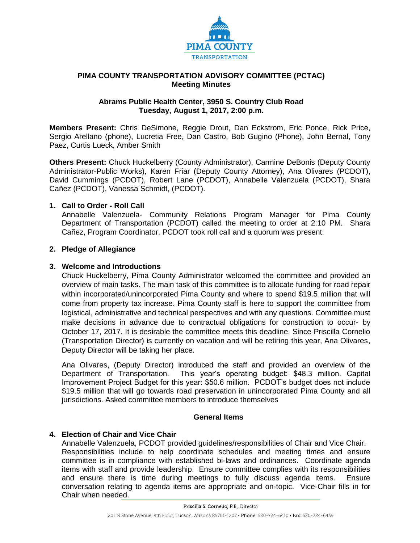

## **PIMA COUNTY TRANSPORTATION ADVISORY COMMITTEE (PCTAC) Meeting Minutes**

#### **Abrams Public Health Center, 3950 S. Country Club Road Tuesday, August 1, 2017, 2:00 p.m.**

**Members Present:** Chris DeSimone, Reggie Drout, Dan Eckstrom, Eric Ponce, Rick Price, Sergio Arellano (phone), Lucretia Free, Dan Castro, Bob Gugino (Phone), John Bernal, Tony Paez, Curtis Lueck, Amber Smith

**Others Present:** Chuck Huckelberry (County Administrator), Carmine DeBonis (Deputy County Administrator-Public Works), Karen Friar (Deputy County Attorney), Ana Olivares (PCDOT), David Cummings (PCDOT), Robert Lane (PCDOT), Annabelle Valenzuela (PCDOT), Shara Cañez (PCDOT), Vanessa Schmidt, (PCDOT).

## **1. Call to Order - Roll Call**

Annabelle Valenzuela- Community Relations Program Manager for Pima County Department of Transportation (PCDOT) called the meeting to order at 2:10 PM. Shara Cañez, Program Coordinator, PCDOT took roll call and a quorum was present.

## **2. Pledge of Allegiance**

## **3. Welcome and Introductions**

Chuck Huckelberry, Pima County Administrator welcomed the committee and provided an overview of main tasks. The main task of this committee is to allocate funding for road repair within incorporated/unincorporated Pima County and where to spend \$19.5 million that will come from property tax increase. Pima County staff is here to support the committee from logistical, administrative and technical perspectives and with any questions. Committee must make decisions in advance due to contractual obligations for construction to occur- by October 17, 2017. It is desirable the committee meets this deadline. Since Priscilla Cornelio (Transportation Director) is currently on vacation and will be retiring this year, Ana Olivares, Deputy Director will be taking her place.

Ana Olivares, (Deputy Director) introduced the staff and provided an overview of the Department of Transportation. This year's operating budget: \$48.3 million. Capital Improvement Project Budget for this year: \$50.6 million. PCDOT's budget does not include \$19.5 million that will go towards road preservation in unincorporated Pima County and all jurisdictions. Asked committee members to introduce themselves

## **General Items**

## **4. Election of Chair and Vice Chair**

Annabelle Valenzuela, PCDOT provided guidelines/responsibilities of Chair and Vice Chair. Responsibilities include to help coordinate schedules and meeting times and ensure committee is in compliance with established bi-laws and ordinances. Coordinate agenda items with staff and provide leadership. Ensure committee complies with its responsibilities and ensure there is time during meetings to fully discuss agenda items. Ensure conversation relating to agenda items are appropriate and on-topic. Vice-Chair fills in for Chair when needed.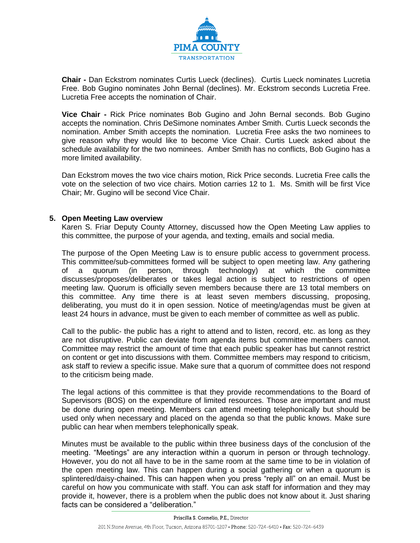

**Chair -** Dan Eckstrom nominates Curtis Lueck (declines). Curtis Lueck nominates Lucretia Free. Bob Gugino nominates John Bernal (declines). Mr. Eckstrom seconds Lucretia Free. Lucretia Free accepts the nomination of Chair.

**Vice Chair -** Rick Price nominates Bob Gugino and John Bernal seconds. Bob Gugino accepts the nomination. Chris DeSimone nominates Amber Smith. Curtis Lueck seconds the nomination. Amber Smith accepts the nomination. Lucretia Free asks the two nominees to give reason why they would like to become Vice Chair. Curtis Lueck asked about the schedule availability for the two nominees. Amber Smith has no conflicts, Bob Gugino has a more limited availability.

Dan Eckstrom moves the two vice chairs motion, Rick Price seconds. Lucretia Free calls the vote on the selection of two vice chairs. Motion carries 12 to 1. Ms. Smith will be first Vice Chair; Mr. Gugino will be second Vice Chair.

#### **5. Open Meeting Law overview**

Karen S. Friar Deputy County Attorney, discussed how the Open Meeting Law applies to this committee, the purpose of your agenda, and texting, emails and social media.

The purpose of the Open Meeting Law is to ensure public access to government process. This committee/sub-committees formed will be subject to open meeting law. Any gathering of a quorum (in person, through technology) at which the committee discusses/proposes/deliberates or takes legal action is subject to restrictions of open meeting law. Quorum is officially seven members because there are 13 total members on this committee. Any time there is at least seven members discussing, proposing, deliberating, you must do it in open session. Notice of meeting/agendas must be given at least 24 hours in advance, must be given to each member of committee as well as public.

Call to the public- the public has a right to attend and to listen, record, etc. as long as they are not disruptive. Public can deviate from agenda items but committee members cannot. Committee may restrict the amount of time that each public speaker has but cannot restrict on content or get into discussions with them. Committee members may respond to criticism, ask staff to review a specific issue. Make sure that a quorum of committee does not respond to the criticism being made.

The legal actions of this committee is that they provide recommendations to the Board of Supervisors (BOS) on the expenditure of limited resources. Those are important and must be done during open meeting. Members can attend meeting telephonically but should be used only when necessary and placed on the agenda so that the public knows. Make sure public can hear when members telephonically speak.

Minutes must be available to the public within three business days of the conclusion of the meeting. "Meetings" are any interaction within a quorum in person or through technology. However, you do not all have to be in the same room at the same time to be in violation of the open meeting law. This can happen during a social gathering or when a quorum is splintered/daisy-chained. This can happen when you press "reply all" on an email. Must be careful on how you communicate with staff. You can ask staff for information and they may provide it, however, there is a problem when the public does not know about it. Just sharing facts can be considered a "deliberation."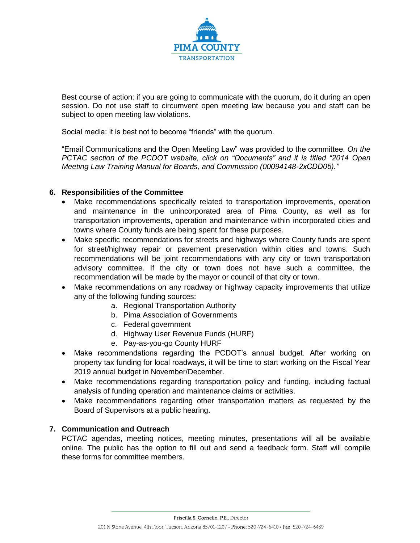

Best course of action: if you are going to communicate with the quorum, do it during an open session. Do not use staff to circumvent open meeting law because you and staff can be subject to open meeting law violations.

Social media: it is best not to become "friends" with the quorum.

"Email Communications and the Open Meeting Law" was provided to the committee. *On the PCTAC section of the PCDOT website, click on "Documents" and it is titled "2014 Open Meeting Law Training Manual for Boards, and Commission (00094148-2xCDD05)."*

## **6. Responsibilities of the Committee**

- Make recommendations specifically related to transportation improvements, operation and maintenance in the unincorporated area of Pima County, as well as for transportation improvements, operation and maintenance within incorporated cities and towns where County funds are being spent for these purposes.
- Make specific recommendations for streets and highways where County funds are spent for street/highway repair or pavement preservation within cities and towns. Such recommendations will be joint recommendations with any city or town transportation advisory committee. If the city or town does not have such a committee, the recommendation will be made by the mayor or council of that city or town.
- Make recommendations on any roadway or highway capacity improvements that utilize any of the following funding sources:
	- a. Regional Transportation Authority
	- b. Pima Association of Governments
	- c. Federal government
	- d. Highway User Revenue Funds (HURF)
	- e. Pay-as-you-go County HURF
- Make recommendations regarding the PCDOT's annual budget. After working on property tax funding for local roadways, it will be time to start working on the Fiscal Year 2019 annual budget in November/December.
- Make recommendations regarding transportation policy and funding, including factual analysis of funding operation and maintenance claims or activities.
- Make recommendations regarding other transportation matters as requested by the Board of Supervisors at a public hearing.

## **7. Communication and Outreach**

PCTAC agendas, meeting notices, meeting minutes, presentations will all be available online. The public has the option to fill out and send a feedback form. Staff will compile these forms for committee members.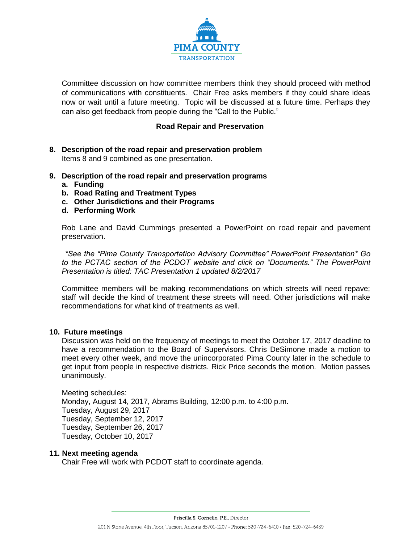

Committee discussion on how committee members think they should proceed with method of communications with constituents. Chair Free asks members if they could share ideas now or wait until a future meeting. Topic will be discussed at a future time. Perhaps they can also get feedback from people during the "Call to the Public."

# **Road Repair and Preservation**

- **8. Description of the road repair and preservation problem** Items 8 and 9 combined as one presentation.
- **9. Description of the road repair and preservation programs**
	- **a. Funding**
	- **b. Road Rating and Treatment Types**
	- **c. Other Jurisdictions and their Programs**
	- **d. Performing Work**

Rob Lane and David Cummings presented a PowerPoint on road repair and pavement preservation.

*\*See the "Pima County Transportation Advisory Committee" PowerPoint Presentation\* Go to the PCTAC section of the PCDOT website and click on "Documents." The PowerPoint Presentation is titled: TAC Presentation 1 updated 8/2/2017*

Committee members will be making recommendations on which streets will need repave; staff will decide the kind of treatment these streets will need. Other jurisdictions will make recommendations for what kind of treatments as well.

#### **10. Future meetings**

Discussion was held on the frequency of meetings to meet the October 17, 2017 deadline to have a recommendation to the Board of Supervisors. Chris DeSimone made a motion to meet every other week, and move the unincorporated Pima County later in the schedule to get input from people in respective districts. Rick Price seconds the motion. Motion passes unanimously.

Meeting schedules: Monday, August 14, 2017, Abrams Building, 12:00 p.m. to 4:00 p.m. Tuesday, August 29, 2017 Tuesday, September 12, 2017 Tuesday, September 26, 2017 Tuesday, October 10, 2017

#### **11. Next meeting agenda**

Chair Free will work with PCDOT staff to coordinate agenda.